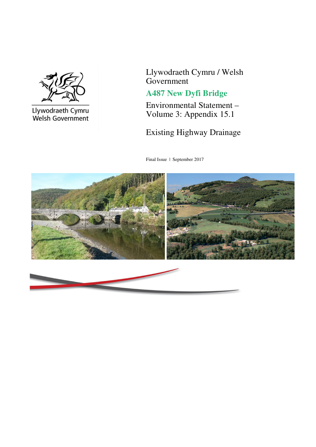

Llywodraeth Cymru<br>Welsh Government

Llywodraeth Cymru / Welsh Government

## **A487 New Dyfi Bridge**

Environmental Statement – Volume 3: Appendix 15.1

Existing Highway Drainage

Final Issue | September 2017